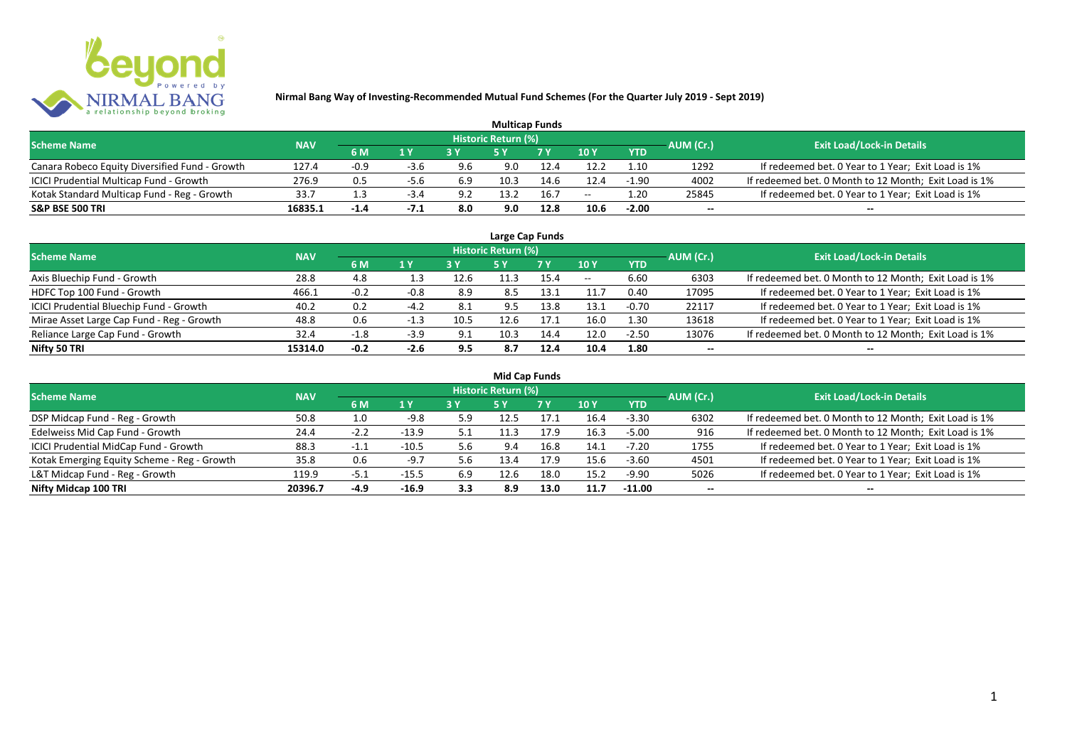

| <b>Multicap Funds</b>                          |            |        |        |     |                     |      |                 |            |           |                                                       |  |  |  |
|------------------------------------------------|------------|--------|--------|-----|---------------------|------|-----------------|------------|-----------|-------------------------------------------------------|--|--|--|
| <b>Scheme Name</b>                             | <b>NAV</b> |        |        |     | Historic Return (%) |      |                 |            | AUM (Cr.) | <b>Exit Load/Lock-in Details</b>                      |  |  |  |
|                                                |            | 6 M    | 1 Y    | 2V  |                     | 7 V  | 10 <sub>Y</sub> | <b>YTD</b> |           |                                                       |  |  |  |
| Canara Robeco Equity Diversified Fund - Growth | 127.4      | $-0.9$ | -3.6   | 9.6 | 9.0                 | 12.4 | 12.2            | 1.10       | 1292      | If redeemed bet. 0 Year to 1 Year; Exit Load is 1%    |  |  |  |
| ICICI Prudential Multicap Fund - Growth        | 276.9      | 0.5    | $-5.6$ | 6.9 | 10.3                | 14.6 | L2.4            | $-1.90$    | 4002      | If redeemed bet. 0 Month to 12 Month; Exit Load is 1% |  |  |  |
| Kotak Standard Multicap Fund - Reg - Growth    | 33.7       |        | -3.4   | 9.2 | 13.2                | 16.7 | $- -$           | .20.       | 25845     | If redeemed bet. 0 Year to 1 Year; Exit Load is 1%    |  |  |  |
| <b>S&amp;P BSE 500 TRI</b>                     | 16835.1    | $-1.4$ | -7.1   | 8.0 | 9.0                 | 12.8 | 10.6            | $-2.00$    | $- -$     | $- -$                                                 |  |  |  |

|                                           |            |        |        |      |                            | Large Cap Funds |       |            |           |                                                       |
|-------------------------------------------|------------|--------|--------|------|----------------------------|-----------------|-------|------------|-----------|-------------------------------------------------------|
| <b>Scheme Name</b>                        | <b>NAV</b> |        |        |      | <b>Historic Return (%)</b> |                 |       |            | AUM (Cr.) | <b>Exit Load/Lock-in Details</b>                      |
|                                           |            | 6 M    | 1Y     | 3 Y  | <b>5 Y</b>                 | 7Y              | 10Y   | <b>YTD</b> |           |                                                       |
| Axis Bluechip Fund - Growth               | 28.8       | 4.8    | 1.3    | 12.6 | 11.3                       | 15.4            | $- -$ | 6.60       | 6303      | If redeemed bet. 0 Month to 12 Month; Exit Load is 1% |
| HDFC Top 100 Fund - Growth                | 466.1      | $-0.2$ | -0.8   | 8.9  | 8.5                        | 13.1            | 11.7  | 0.40       | 17095     | If redeemed bet. 0 Year to 1 Year; Exit Load is 1%    |
| ICICI Prudential Bluechip Fund - Growth   | 40.2       | 0.2    | $-4.2$ | 8.1  | 9.5                        | 13.8            | 13.1  | $-0.70$    | 22117     | If redeemed bet. 0 Year to 1 Year; Exit Load is 1%    |
| Mirae Asset Large Cap Fund - Reg - Growth | 48.8       | 0.6    | -1.3   | 10.5 | 12.6                       | 17.1            | 16.0  | 1.30       | 13618     | If redeemed bet. 0 Year to 1 Year; Exit Load is 1%    |
| Reliance Large Cap Fund - Growth          | 32.4       | $-1.8$ | $-3.9$ | 9.1  | 10.3                       | 14.4            | 12.0  | $-2.50$    | 13076     | If redeemed bet. 0 Month to 12 Month; Exit Load is 1% |
| Nifty 50 TRI                              | 15314.0    | $-0.2$ | $-2.6$ | 9.5  | 8.7                        | 12.4            | 10.4  | 1.80       |           | $- -$                                                 |

| <b>Mid Cap Funds</b>                        |            |                    |         |     |                     |      |      |            |                          |                                                       |  |  |  |
|---------------------------------------------|------------|--------------------|---------|-----|---------------------|------|------|------------|--------------------------|-------------------------------------------------------|--|--|--|
| <b>Scheme Name</b>                          | <b>NAV</b> |                    |         |     | Historic Return (%) |      |      |            | AUM (Cr.)                | <b>Exit Load/Lock-in Details</b>                      |  |  |  |
|                                             |            | 6 M                | 1 Y     |     | 5 Y                 | 7 Y  | 10Y  | <b>YTD</b> |                          |                                                       |  |  |  |
| DSP Midcap Fund - Reg - Growth              | 50.8       | 1.0                | $-9.8$  | 5.9 | 12.5                | 17.1 | 16.4 | $-3.30$    | 6302                     | If redeemed bet. 0 Month to 12 Month; Exit Load is 1% |  |  |  |
| Edelweiss Mid Cap Fund - Growth             | 24.4       | $-2.2$             | $-13.9$ | 5.1 | 11.3                | 17.9 | 16.3 | $-5.00$    | 916                      | If redeemed bet. 0 Month to 12 Month; Exit Load is 1% |  |  |  |
| ICICI Prudential MidCap Fund - Growth       | 88.3       | $-1$<br><b>. .</b> | $-10.5$ | 5.6 | 9.4                 | 16.8 | 14.1 | $-7.20$    | 1755                     | If redeemed bet. 0 Year to 1 Year; Exit Load is 1%    |  |  |  |
| Kotak Emerging Equity Scheme - Reg - Growth | 35.8       | 0.6                | -9.7    | 5.6 | 13.4                | 17.9 | 15.6 | $-3.60$    | 4501                     | If redeemed bet. 0 Year to 1 Year; Exit Load is 1%    |  |  |  |
| L&T Midcap Fund - Reg - Growth              | 119.9      | -5.1               | $-15.5$ | 6.9 | 12.6                | 18.0 | 15.2 | -9.90      | 5026                     | If redeemed bet. 0 Year to 1 Year; Exit Load is 1%    |  |  |  |
| Nifty Midcap 100 TRI                        | 20396.7    | $-4.9$             | $-16.9$ | 3.3 | 8.9                 | 13.0 | 11.7 | $-11.00$   | $\overline{\phantom{a}}$ | $- -$                                                 |  |  |  |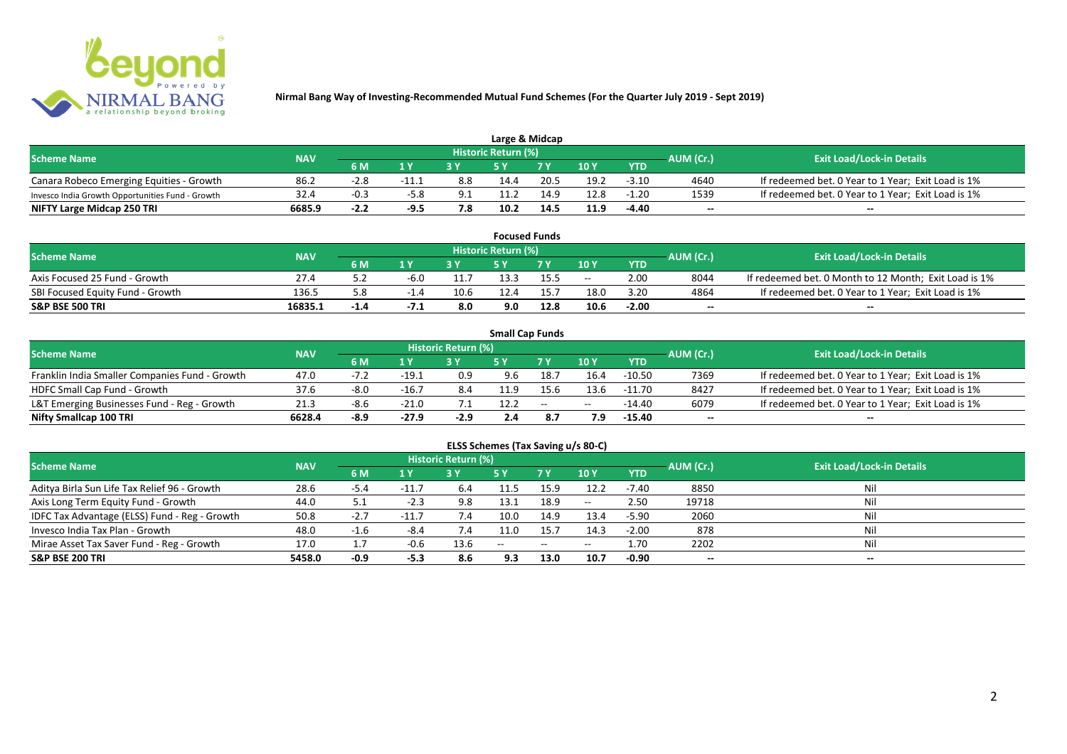

| Large & Midcap                                   |            |        |                         |     |                            |      |      |            |           |                                                    |  |  |  |
|--------------------------------------------------|------------|--------|-------------------------|-----|----------------------------|------|------|------------|-----------|----------------------------------------------------|--|--|--|
| <b>Scheme Name</b>                               | <b>NAV</b> |        |                         |     | <b>Historic Return (%)</b> |      |      |            | AUM (Cr.) | <b>Exit Load/Lock-in Details</b>                   |  |  |  |
|                                                  |            | 6 M    | $\mathbf{A} \mathbf{V}$ |     |                            | 7 V  | 10Y  | <b>YTD</b> |           |                                                    |  |  |  |
| Canara Robeco Emerging Equities - Growth         | 86.2       | $-2.8$ | -11.1                   | 8.8 | 14.4                       | 20.5 | 19.2 | $-3.10$    | 4640      | If redeemed bet. 0 Year to 1 Year; Exit Load is 1% |  |  |  |
| Invesco India Growth Opportunities Fund - Growth | 32.4       | $-0.3$ | $-5.8$                  | 9.1 | 11.2                       | 14.9 | 12.8 | $-1.20$    | 1539      | If redeemed bet. 0 Year to 1 Year; Exit Load is 1% |  |  |  |
| NIFTY Large Midcap 250 TRI                       | 6685.9     | $-2.2$ | $-9.5$                  | 7.8 | 10.2                       | 14.5 | 11.9 | $-4.40$    | $- -$     | $- -$                                              |  |  |  |

|                                  |            |        |        |      |                     | <b>Focused Funds</b> |       |            |           |                                                       |
|----------------------------------|------------|--------|--------|------|---------------------|----------------------|-------|------------|-----------|-------------------------------------------------------|
| <b>Scheme Name</b>               | <b>NAV</b> |        |        |      | Historic Return (%) |                      |       |            | AUM (Cr.) | <b>Exit Load/Lock-in Details</b>                      |
|                                  |            | 6 M    | 1 V    |      | cν                  | 7 V                  | 10 Y  | <b>YTD</b> |           |                                                       |
| Axis Focused 25 Fund - Growth    | 27.4       |        | -6.0   |      | 13.3                | 15.5                 | $- -$ | 2.00       | 8044      | If redeemed bet. 0 Month to 12 Month; Exit Load is 1% |
| SBI Focused Equity Fund - Growth | 136.5      | ە.د    |        | 10.6 | 12.4                |                      | 18.0  | 3.20       | 4864      | If redeemed bet. 0 Year to 1 Year; Exit Load is 1%    |
| <b>S&amp;P BSE 500 TRI</b>       | 16835.1    | $-1.4$ | $-1.1$ | 8.0  | 9.0                 | 12.8                 | 10.6  | $-2.00$    | $- -$     | $- -$                                                 |

|                                                |            |        |         |                     |      | <b>Small Cap Funds</b>                         |       |            |           |                                                    |
|------------------------------------------------|------------|--------|---------|---------------------|------|------------------------------------------------|-------|------------|-----------|----------------------------------------------------|
| <b>Scheme Name</b>                             | <b>NAV</b> |        |         | Historic Return (%) |      |                                                |       |            | AUM (Cr.) | <b>Exit Load/Lock-in Details</b>                   |
|                                                |            | 6 M    | 1 Y     |                     |      | 7 Y                                            | 10Y   | <b>YTD</b> |           |                                                    |
| Franklin India Smaller Companies Fund - Growth | 47.0       | $-7.2$ | $-19.1$ | 0.9                 | 9.6  | 18.7                                           | 16.4  | $-10.50$   | 7369      | If redeemed bet. 0 Year to 1 Year; Exit Load is 1% |
| HDFC Small Cap Fund - Growth                   | 37.6       | -8.0   | $-16.7$ | 8.4                 | 11.9 | 15.6                                           | 13.6  | $-11.70$   | 8427      | If redeemed bet. 0 Year to 1 Year; Exit Load is 1% |
| L&T Emerging Businesses Fund - Reg - Growth    | 21.3       | -8.6   | $-21.0$ |                     | 12.2 | $\hspace{0.1mm}-\hspace{0.1mm}-\hspace{0.1mm}$ | $- -$ | $-14.40$   | 6079      | If redeemed bet. 0 Year to 1 Year; Exit Load is 1% |
| Nifty Smallcap 100 TRI                         | 6628.4     | -8.9   | $-27.9$ | $-2.9$              |      |                                                |       | $-15.40$   | $- -$     | $\overline{\phantom{a}}$                           |

# **ELSS Schemes (Tax Saving u/s 80-C)**

| <b>Scheme Name</b>                            | <b>NAV</b> |        |                | <b>Historic Return (%)</b> |       |      |         |            | AUM (Cr.)                | <b>Exit Load/Lock-in Details</b> |
|-----------------------------------------------|------------|--------|----------------|----------------------------|-------|------|---------|------------|--------------------------|----------------------------------|
|                                               |            | 6 M    | 1 <sub>Y</sub> |                            | 5 Y   | 7Y   | 10Y     | <b>YTD</b> |                          |                                  |
| Aditya Birla Sun Life Tax Relief 96 - Growth  | 28.6       | $-5.4$ | $-11.7$        | 6.4                        | 11.5  | 15.9 | 12.2    | -7.40      | 8850                     | Nil                              |
| Axis Long Term Equity Fund - Growth           | 44.0       | 5.1    | -2.3           | 9.8                        | 13.1  | 18.9 | $-  \,$ | 2.50       | 19718                    |                                  |
| IDFC Tax Advantage (ELSS) Fund - Reg - Growth | 50.8       | $-2.7$ | $-11.7$        | 7.4                        | 10.0  | 14.9 | 13.4    | $-5.90$    | 2060                     |                                  |
| Invesco India Tax Plan - Growth               | 48.0       | $-1.6$ | -8.4           | 7.4                        | 11.0  | 15.7 | 14.3    | $-2.00$    | 878                      |                                  |
| Mirae Asset Tax Saver Fund - Reg - Growth     | 17.0       |        | $-0.6$         | 13.6                       | $- -$ | $-$  | $- -$   | 1.70       | 2202                     |                                  |
| <b>S&amp;P BSE 200 TRI</b>                    | 5458.0     | $-0.9$ | -5.3           | 8.6                        | 9.3   | 13.0 | 10.7    | $-0.90$    | $\overline{\phantom{a}}$ | $\overline{\phantom{a}}$         |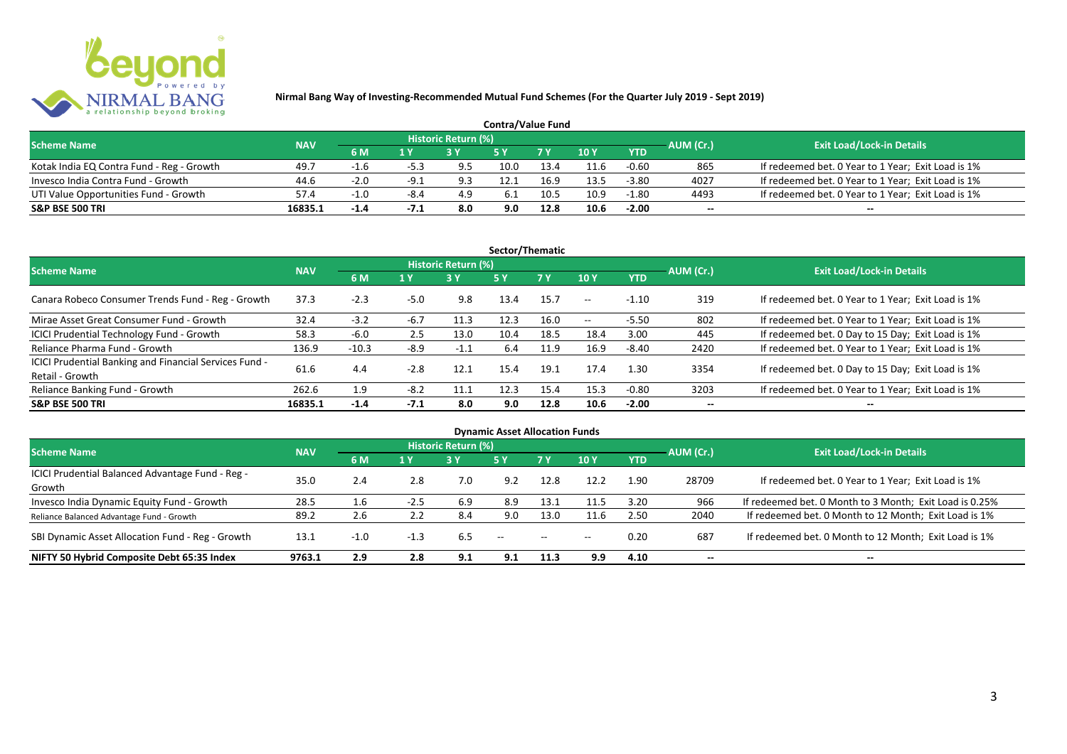

| <b>Contra/Value Fund</b>                  |            |        |        |                     |      |                |      |            |           |                                                    |  |  |  |
|-------------------------------------------|------------|--------|--------|---------------------|------|----------------|------|------------|-----------|----------------------------------------------------|--|--|--|
| <b>Scheme Name</b>                        | <b>NAV</b> |        |        | Historic Return (%) |      |                |      |            | AUM (Cr.) | <b>Exit Load/Lock-in Details</b>                   |  |  |  |
|                                           |            | 6 M    |        |                     |      | 7 <sub>Y</sub> | 10 Y | <b>YTD</b> |           |                                                    |  |  |  |
| Kotak India EQ Contra Fund - Reg - Growth | 49.7       | $-1.6$ | $-5.3$ | 9.5                 | 10.0 | 13.4           | 11.6 | $-0.60$    | 865       | If redeemed bet. 0 Year to 1 Year; Exit Load is 1% |  |  |  |
| Invesco India Contra Fund - Growth        | 44.6       | $-2.0$ | $-9.1$ | 9.3                 |      | 16.9           | 13.5 | $-3.80$    | 4027      | If redeemed bet. 0 Year to 1 Year; Exit Load is 1% |  |  |  |
| UTI Value Opportunities Fund - Growth     | 57.4       | $-1.0$ | -8.4   | 4.9                 |      | 10.5           | 10.9 | -1.80      | 4493      | If redeemed bet. 0 Year to 1 Year; Exit Load is 1% |  |  |  |
| <b>S&amp;P BSE 500 TRI</b>                | 16835.1    | $-1.4$ | -7.1   | 8.0                 | 9.0  | 12.8           | 10.6 | $-2.00$    | $-$       | $- -$                                              |  |  |  |

| Sector/Thematic                                                           |            |         |        |                            |           |           |         |            |           |                                                    |  |  |  |
|---------------------------------------------------------------------------|------------|---------|--------|----------------------------|-----------|-----------|---------|------------|-----------|----------------------------------------------------|--|--|--|
| <b>Scheme Name</b>                                                        | <b>NAV</b> |         |        | <b>Historic Return (%)</b> |           |           |         |            | AUM (Cr.) | <b>Exit Load/Lock-in Details</b>                   |  |  |  |
|                                                                           |            | 6 M     | 1 Y    | 3Y                         | <b>5Y</b> | <b>7Y</b> | 10Y     | <b>YTD</b> |           |                                                    |  |  |  |
| Canara Robeco Consumer Trends Fund - Reg - Growth                         | 37.3       | $-2.3$  | $-5.0$ | 9.8                        | 13.4      | 15.7      | $- -$ . | $-1.10$    | 319       | If redeemed bet. 0 Year to 1 Year; Exit Load is 1% |  |  |  |
| Mirae Asset Great Consumer Fund - Growth                                  | 32.4       | $-3.2$  | $-6.7$ | 11.3                       | 12.3      | 16.0      | $- -$   | $-5.50$    | 802       | If redeemed bet. 0 Year to 1 Year; Exit Load is 1% |  |  |  |
| <b>ICICI Prudential Technology Fund - Growth</b>                          | 58.3       | $-6.0$  | 2.5    | 13.0                       | 10.4      | 18.5      | 18.4    | 3.00       | 445       | If redeemed bet. 0 Day to 15 Day; Exit Load is 1%  |  |  |  |
| Reliance Pharma Fund - Growth                                             | 136.9      | $-10.3$ | -8.9   | $-1.1$                     | 6.4       | 11.9      | 16.9    | $-8.40$    | 2420      | If redeemed bet. 0 Year to 1 Year; Exit Load is 1% |  |  |  |
| ICICI Prudential Banking and Financial Services Fund -<br>Retail - Growth | 61.6       | 4.4     | $-2.8$ | 12.1                       | 15.4      | 19.1      | 17.4    | 1.30       | 3354      | If redeemed bet. 0 Day to 15 Day; Exit Load is 1%  |  |  |  |
| Reliance Banking Fund - Growth                                            | 262.6      | 1.9     | $-8.2$ | 11.1                       | 12.3      | 15.4      | 15.3    | $-0.80$    | 3203      | If redeemed bet. 0 Year to 1 Year; Exit Load is 1% |  |  |  |
| <b>S&amp;P BSE 500 TRI</b>                                                | 16835.1    | $-1.4$  | $-7.1$ | 8.0                        | 9.0       | 12.8      | 10.6    | $-2.00$    |           | --                                                 |  |  |  |

|                                                  |            |        |        |                            | <b>Dynamic Asset Allocation Funds</b> |               |       |                         |                          |                                                         |
|--------------------------------------------------|------------|--------|--------|----------------------------|---------------------------------------|---------------|-------|-------------------------|--------------------------|---------------------------------------------------------|
| <b>Scheme Name</b>                               | <b>NAV</b> |        |        | <b>Historic Return (%)</b> |                                       |               |       |                         |                          | <b>Exit Load/Lock-in Details</b>                        |
|                                                  |            | 6 M    | 1 Y    | 3Y                         | 5 Y                                   | 7Y            | 10Y   | AUM (Cr.)<br><b>YTD</b> |                          |                                                         |
| ICICI Prudential Balanced Advantage Fund - Reg - | 35.0       | 2.4    | 2.8    | 7.0                        | 9.2                                   | 12.8          | 12.2  | 1.90                    | 28709                    | If redeemed bet. 0 Year to 1 Year; Exit Load is 1%      |
| Growth                                           |            |        |        |                            |                                       |               |       |                         |                          |                                                         |
| Invesco India Dynamic Equity Fund - Growth       | 28.5       | 1.6    | $-2.5$ | 6.9                        | 8.9                                   | 13.1          | 11.5  | 3.20                    | 966                      | If redeemed bet. 0 Month to 3 Month; Exit Load is 0.25% |
| Reliance Balanced Advantage Fund - Growth        | 89.2       | 2.6    |        | 8.4                        | 9.0                                   | 13.0          | 11.6  | 2.50                    | 2040                     | If redeemed bet. 0 Month to 12 Month; Exit Load is 1%   |
| SBI Dynamic Asset Allocation Fund - Reg - Growth | 13.1       | $-1.0$ | $-1.3$ | 6.5                        | $- -$                                 | $\sim$ $\sim$ | $- -$ | 0.20                    | 687                      | If redeemed bet. 0 Month to 12 Month; Exit Load is 1%   |
| NIFTY 50 Hybrid Composite Debt 65:35 Index       | 9763.1     | 2.9    | 2.8    | 9.1                        | 9.1                                   | 11.3          | 9.9   | 4.10                    | $\overline{\phantom{a}}$ | $- -$                                                   |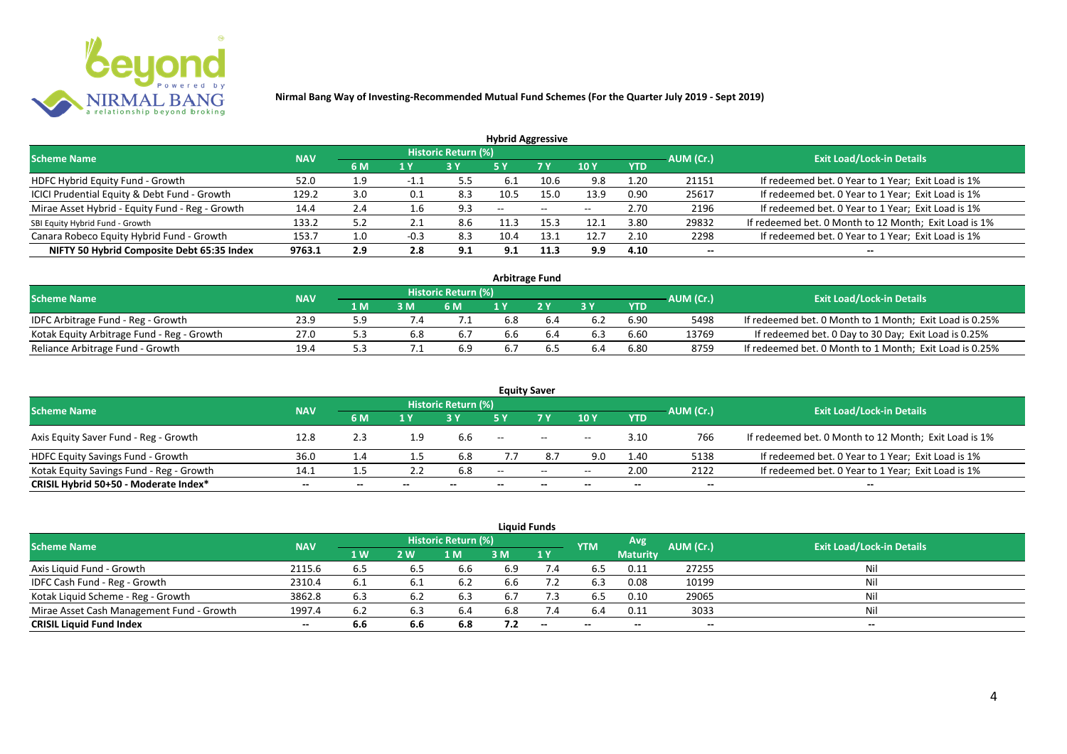

|                                                 |            |     |        |                            | <b>Hybrid Aggressive</b> |                          |                          |            |                          |                                                       |
|-------------------------------------------------|------------|-----|--------|----------------------------|--------------------------|--------------------------|--------------------------|------------|--------------------------|-------------------------------------------------------|
| <b>Scheme Name</b>                              | <b>NAV</b> |     |        | <b>Historic Return (%)</b> |                          |                          |                          |            | AUM (Cr.)                | <b>Exit Load/Lock-in Details</b>                      |
|                                                 |            | 6 M | 1 Y    |                            | 5 Y                      | 7 Y                      | 10Y                      | <b>YTD</b> |                          |                                                       |
| HDFC Hybrid Equity Fund - Growth                | 52.0       | 1.9 | -1.1   |                            | 6.1                      | 10.6                     | 9.8                      | 1.20       | 21151                    | If redeemed bet. 0 Year to 1 Year; Exit Load is 1%    |
| ICICI Prudential Equity & Debt Fund - Growth    | 129.2      | 3.0 | 0.1    | 8.3                        | 10.5                     | 15.0                     | 13.9                     | 0.90       | 25617                    | If redeemed bet. 0 Year to 1 Year; Exit Load is 1%    |
| Mirae Asset Hybrid - Equity Fund - Reg - Growth | 14.4       | 2.4 | 1.6    | 9.3                        | $\overline{\phantom{a}}$ | $\overline{\phantom{a}}$ | $\overline{\phantom{a}}$ | 2.70       | 2196                     | If redeemed bet. 0 Year to 1 Year; Exit Load is 1%    |
| SBI Equity Hybrid Fund - Growth                 | 133.2      | 5.2 | 2.1    | 8.6                        |                          | 15.3                     | 12.1                     | 3.80       | 29832                    | If redeemed bet. 0 Month to 12 Month; Exit Load is 1% |
| Canara Robeco Equity Hybrid Fund - Growth       | 153.7      | 1.0 | $-0.3$ | 8.3                        | 10.4                     | 13.1                     | 12.7                     | 2.10       | 2298                     | If redeemed bet. 0 Year to 1 Year; Exit Load is 1%    |
| NIFTY 50 Hybrid Composite Debt 65:35 Index      | 9763.1     | 2.9 | 2.8    | 9.1                        | 9.1                      | 11.3                     | 9.9                      | 4.10       | $\overline{\phantom{a}}$ | $- -$                                                 |

| <b>Arbitrage Fund</b>                      |            |     |     |                            |     |    |     |            |           |                                                         |  |  |  |
|--------------------------------------------|------------|-----|-----|----------------------------|-----|----|-----|------------|-----------|---------------------------------------------------------|--|--|--|
| <b>Scheme Name</b>                         | <b>NAV</b> |     |     | <b>Historic Return (%)</b> |     |    |     |            | AUM (Cr.) | <b>Exit Load/Lock-in Details</b>                        |  |  |  |
|                                            |            | 1 M | 3 M | 6 M                        |     | つり |     | <b>YTD</b> |           |                                                         |  |  |  |
| IDFC Arbitrage Fund - Reg - Growth         | 23.9       |     |     |                            | 6.8 |    |     | 6.90       | 5498      | If redeemed bet. 0 Month to 1 Month; Exit Load is 0.25% |  |  |  |
| Kotak Equity Arbitrage Fund - Reg - Growth | 27.0       |     | 6.8 | 6.7                        | 6.6 |    |     | 6.60       | 13769     | If redeemed bet. 0 Day to 30 Day; Exit Load is 0.25%    |  |  |  |
| Reliance Arbitrage Fund - Growth           | 19.4       |     |     | 6.9                        | 6.7 |    | b.4 | 6.80       | 8759      | If redeemed bet. 0 Month to 1 Month; Exit Load is 0.25% |  |  |  |

|                                          |            |       |       |                     |       | <b>Equity Saver</b>                            |       |            |           |                                                       |
|------------------------------------------|------------|-------|-------|---------------------|-------|------------------------------------------------|-------|------------|-----------|-------------------------------------------------------|
| <b>Scheme Name</b>                       | <b>NAV</b> |       |       | Historic Return (%) |       |                                                |       |            |           | <b>Exit Load/Lock-in Details</b>                      |
|                                          |            | 6 M   | 1 V   |                     |       | 7 <sub>V</sub>                                 | 10Y   | <b>YTD</b> | AUM (Cr.) |                                                       |
| Axis Equity Saver Fund - Reg - Growth    | 12.8       | 2.3   | 1.9   | 6.6                 | $- -$ | $\hspace{0.1mm}-\hspace{0.1mm}-\hspace{0.1mm}$ | $- -$ | 3.10       | 766       | If redeemed bet. 0 Month to 12 Month; Exit Load is 1% |
| <b>HDFC Equity Savings Fund - Growth</b> | 36.0       |       |       | 6.8                 |       |                                                | 9.0   | 1.40       | 5138      | If redeemed bet. 0 Year to 1 Year; Exit Load is 1%    |
| Kotak Equity Savings Fund - Reg - Growth | 14.1       | ل. 1  |       | 6.8                 | $-$   | $\sim$                                         | $- -$ | 2.00       | 2122      | If redeemed bet. 0 Year to 1 Year; Exit Load is 1%    |
| CRISIL Hybrid 50+50 - Moderate Index*    | $- -$      | $- -$ | $- -$ |                     | --    | $- -$                                          |       | $- -$      | $- -$     | $- -$                                                 |

|                                           |            |           |     |                     |     | <b>Liquid Funds</b>      |            |                 |           |                                  |
|-------------------------------------------|------------|-----------|-----|---------------------|-----|--------------------------|------------|-----------------|-----------|----------------------------------|
| <b>Scheme Name</b>                        | <b>NAV</b> |           |     | Historic Return (%) |     |                          | <b>YTM</b> | Avg             | AUM (Cr.) | <b>Exit Load/Lock-in Details</b> |
|                                           |            | <b>1W</b> | 2 W | M                   | 3 M | 1Y                       |            | <b>Maturity</b> |           |                                  |
| Axis Liquid Fund - Growth                 | 2115.6     | 6.5       | 6.5 | 6.6                 | 6.9 | 7.4                      | 6.5        | 0.11            | 27255     | Nil                              |
| IDFC Cash Fund - Reg - Growth             | 2310.4     | 6.1       |     | -6.2                | 6.6 |                          | 6.3        | 0.08            | 10199     | Nil                              |
| Kotak Liquid Scheme - Reg - Growth        | 3862.8     | 6.3       | 6.2 | 6.3                 | 6.7 | 7.3                      | 6.5        | 0.10            | 29065     | Nil                              |
| Mirae Asset Cash Management Fund - Growth | 1997.4     | 6.2       | 6.3 | 6.4                 | 6.8 | 7.4                      | 6.4        | 0.11            | 3033      | Nil                              |
| <b>CRISIL Liquid Fund Index</b>           | $- -$      | 6.6       | 6.6 | 6.8                 | 7.2 | $\overline{\phantom{a}}$ | $- -$      | $- -$           | $- -$     | $- -$                            |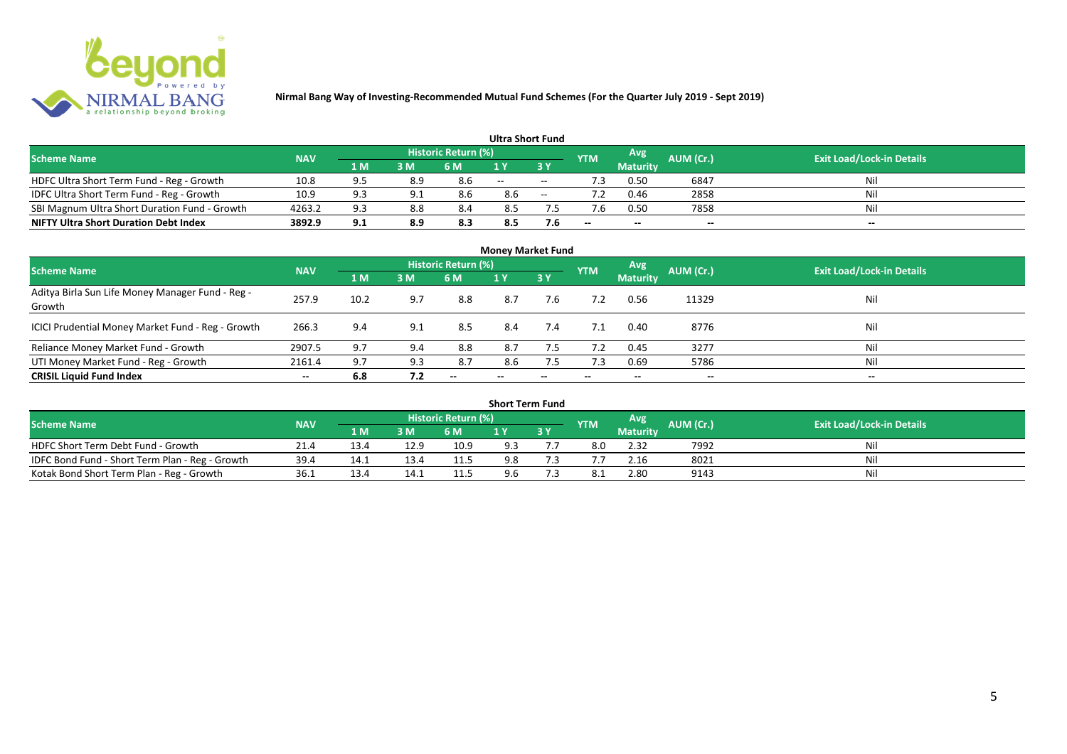

|                                               |            |     |     |                            | <b>Ultra Short Fund</b> |        |            |                 |           |                                  |
|-----------------------------------------------|------------|-----|-----|----------------------------|-------------------------|--------|------------|-----------------|-----------|----------------------------------|
| <b>Scheme Name</b>                            | <b>NAV</b> |     |     | <b>Historic Return (%)</b> |                         |        | <b>YTM</b> | Avg             | AUM (Cr.) | <b>Exit Load/Lock-in Details</b> |
|                                               |            | 1 M | 3 M | 6 M                        | 1 Y                     |        |            | <b>Maturity</b> |           |                                  |
| HDFC Ultra Short Term Fund - Reg - Growth     | 10.8       | 95  | 8.9 | 8.6                        | $\sim$                  | $\sim$ | ٠3         | 0.50            | 6847      | Nil                              |
| IDFC Ultra Short Term Fund - Reg - Growth     | 10.9       | Q 3 |     | 8.6                        | 8.6                     | $\sim$ |            | 0.46            | 2858      | Nil                              |
| SBI Magnum Ultra Short Duration Fund - Growth | 4263.2     | 9.3 | 8.8 | 8.4                        | 8.5                     |        |            | 0.50            | 7858      | Nil                              |
| <b>NIFTY Ultra Short Duration Debt Index</b>  | 3892.9     | 9.1 | 8.9 | 8.3                        | 8.5                     | 7.6    | $- -$      | $- -$           | $- -$     | $\overline{\phantom{a}}$         |

| <b>Money Market Fund</b>                                   |            |      |     |                     |                          |     |            |                 |           |                                  |  |  |  |
|------------------------------------------------------------|------------|------|-----|---------------------|--------------------------|-----|------------|-----------------|-----------|----------------------------------|--|--|--|
| <b>Scheme Name</b>                                         | <b>NAV</b> |      |     | Historic Return (%) |                          |     | <b>YTM</b> | Avg             | AUM (Cr.) | <b>Exit Load/Lock-in Details</b> |  |  |  |
|                                                            |            | 1 M  | 3M  | 6 M                 | 1Y                       | 3 Y |            | <b>Maturity</b> |           |                                  |  |  |  |
| Aditya Birla Sun Life Money Manager Fund - Reg -<br>Growth | 257.9      | 10.2 | 9.7 | 8.8                 | 8.7                      | 7.6 |            | 0.56            | 11329     | Nil                              |  |  |  |
| ICICI Prudential Money Market Fund - Reg - Growth          | 266.3      | 9.4  | 9.1 | 8.5                 | 8.4                      | 7.4 | 7.1        | 0.40            | 8776      | Nil                              |  |  |  |
| Reliance Money Market Fund - Growth                        | 2907.5     | 9.7  | 9.4 | 8.8                 | 8.7                      | 7.5 | 7.2        | 0.45            | 3277      | Nil                              |  |  |  |
| UTI Money Market Fund - Reg - Growth                       | 2161.4     | 9.7  | 9.3 | 8.7                 | 8.6                      | 7.5 | 7.3        | 0.69            | 5786      | Nil                              |  |  |  |
| <b>CRISIL Liquid Fund Index</b>                            | $- -$      | 6.8  | 7.2 | $- -$               | $\overline{\phantom{a}}$ | --  | $- -$      | $- -$           | $- -$     | $\overline{\phantom{a}}$         |  |  |  |

| <b>Short Term Fund</b>                          |            |      |      |                            |     |           |            |                 |                  |                                  |  |  |  |
|-------------------------------------------------|------------|------|------|----------------------------|-----|-----------|------------|-----------------|------------------|----------------------------------|--|--|--|
| <b>Scheme Name</b>                              | <b>NAV</b> |      |      | <b>Historic Return (%)</b> |     |           | <b>YTM</b> | Avg             | <b>AUM (Cr.)</b> | <b>Exit Load/Lock-in Details</b> |  |  |  |
|                                                 |            | 1 M' | 3 M  | 6 M                        | 1 Y | <b>3Y</b> |            | <b>Maturity</b> |                  |                                  |  |  |  |
| HDFC Short Term Debt Fund - Growth              | 21.4       | 13.4 | 12.9 | 10.9                       | 9.3 |           | 8.0        | 2.32            | 7992             | Nil                              |  |  |  |
| IDFC Bond Fund - Short Term Plan - Reg - Growth | 39.4       | 14.1 | 13.4 | 11.5                       | 9.8 |           |            | 2.16            | 8021             | Nil                              |  |  |  |
| Kotak Bond Short Term Plan - Reg - Growth       | 36.1       | 13.4 | 14.1 | 11.5                       | 9.6 |           |            | 2.80            | 9143             | Nil                              |  |  |  |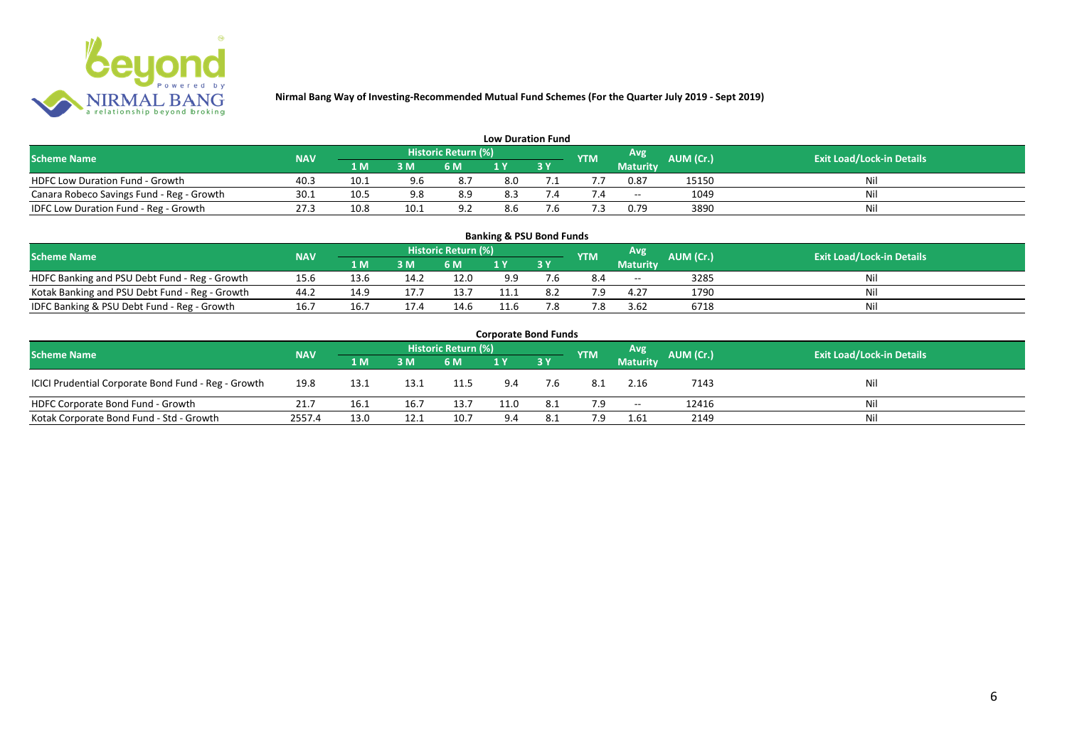

| <b>Low Duration Fund</b>                  |            |      |      |                            |     |  |            |                          |           |                                  |  |  |  |  |
|-------------------------------------------|------------|------|------|----------------------------|-----|--|------------|--------------------------|-----------|----------------------------------|--|--|--|--|
| <b>Scheme Name</b>                        | <b>NAV</b> |      |      | <b>Historic Return (%)</b> |     |  | <b>YTM</b> | Avg                      | AUM (Cr.) | <b>Exit Load/Lock-in Details</b> |  |  |  |  |
|                                           |            | 1 M  | 3 M  | 6 M                        | 1 Y |  |            | Maturity                 |           |                                  |  |  |  |  |
| <b>HDFC Low Duration Fund - Growth</b>    | 40.3       | 10.1 | 9.6  | 8.7                        | 8.0 |  |            | 0.87                     | 15150     | Nil                              |  |  |  |  |
| Canara Robeco Savings Fund - Reg - Growth | 30.1       | 10.5 | 9.8  | 8.9                        | 8.3 |  |            | $\overline{\phantom{a}}$ | 1049      | Nil                              |  |  |  |  |
| IDFC Low Duration Fund - Reg - Growth     | 27.3       | 10.8 | 10.1 | 9.2                        | 8.6 |  |            | 0.79                     | 3890      | Nil                              |  |  |  |  |

| <b>Banking &amp; PSU Bond Funds</b>            |            |      |      |                            |      |    |            |                 |                  |                                  |  |  |  |  |
|------------------------------------------------|------------|------|------|----------------------------|------|----|------------|-----------------|------------------|----------------------------------|--|--|--|--|
| <b>Scheme Name</b>                             | <b>NAV</b> |      |      | <b>Historic Return (%)</b> |      |    | <b>YTM</b> | <b>Avg</b>      | <b>AUM (Cr.)</b> | <b>Exit Load/Lock-in Details</b> |  |  |  |  |
|                                                |            | 1 M  | 3 M  | 6 M                        |      | 3Y |            | <b>Maturity</b> |                  |                                  |  |  |  |  |
| HDFC Banking and PSU Debt Fund - Reg - Growth  | 15.6       | 13.6 | 14.2 | 12.0                       | 9.9  |    | 8.4        | $- -$           | 3285             | Ni                               |  |  |  |  |
| Kotak Banking and PSU Debt Fund - Reg - Growth | 44.2       |      |      | 13.                        | 11.1 |    | 7 Q        | 4.27            | 1790             | Ni                               |  |  |  |  |
| IDFC Banking & PSU Debt Fund - Reg - Growth    | 16.7       |      |      | 14.6                       | 11.6 |    | 7.8        | 3.62            | 6718             | Ni                               |  |  |  |  |

| <b>Corporate Bond Funds</b>                         |            |                                                       |      |      |                                  |            |      |                 |       |     |  |  |  |
|-----------------------------------------------------|------------|-------------------------------------------------------|------|------|----------------------------------|------------|------|-----------------|-------|-----|--|--|--|
| <b>Scheme Name</b>                                  | <b>NAV</b> | Historic Return (%)<br>Avg<br>AUM (Cr.)<br><b>YTM</b> |      |      | <b>Exit Load/Lock-in Details</b> |            |      |                 |       |     |  |  |  |
|                                                     |            | 1 M                                                   | 3 M  | 6 M  |                                  | <b>3 Y</b> |      | <b>Maturity</b> |       |     |  |  |  |
| ICICI Prudential Corporate Bond Fund - Reg - Growth | 19.8       | 13.1                                                  | 13.1 | 11.5 | 9.4                              | 7.6        | -8.1 | 2.16            | 7143  | Nil |  |  |  |
| HDFC Corporate Bond Fund - Growth                   | 21.7       | 16.1                                                  | 16.7 | 13.7 | 11.0                             | 8.1        | 7.9  | $- -$           | 12416 | Nil |  |  |  |
| Kotak Corporate Bond Fund - Std - Growth            | 2557.4     | 13.0                                                  | 12.1 | 10.7 | 9.4                              | 8.1        | 7.9  | 1.61            | 2149  | Nil |  |  |  |